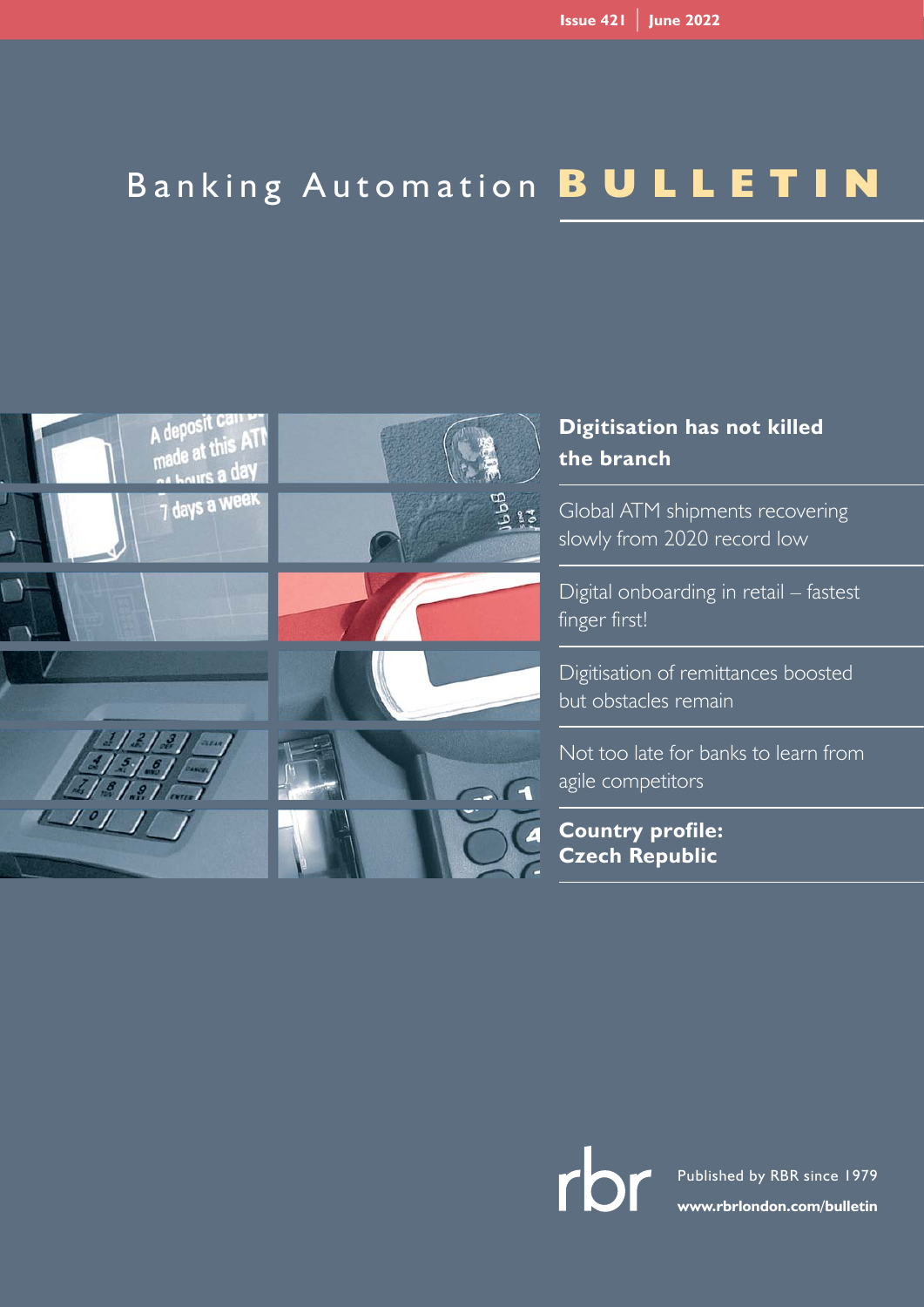# Banking Automation **BULLETIN**



# **Digitisation has not killed the branch**

Global ATM shipments recovering slowly from 2020 record low

Digital onboarding in retail – fastest finger first!

Digitisation of remittances boosted but obstacles remain

Not too late for banks to learn from agile competitors

**Country profile: Czech Republic**

rh

Published by RBR since 1979 **www.rbrlondon.com/bulletin**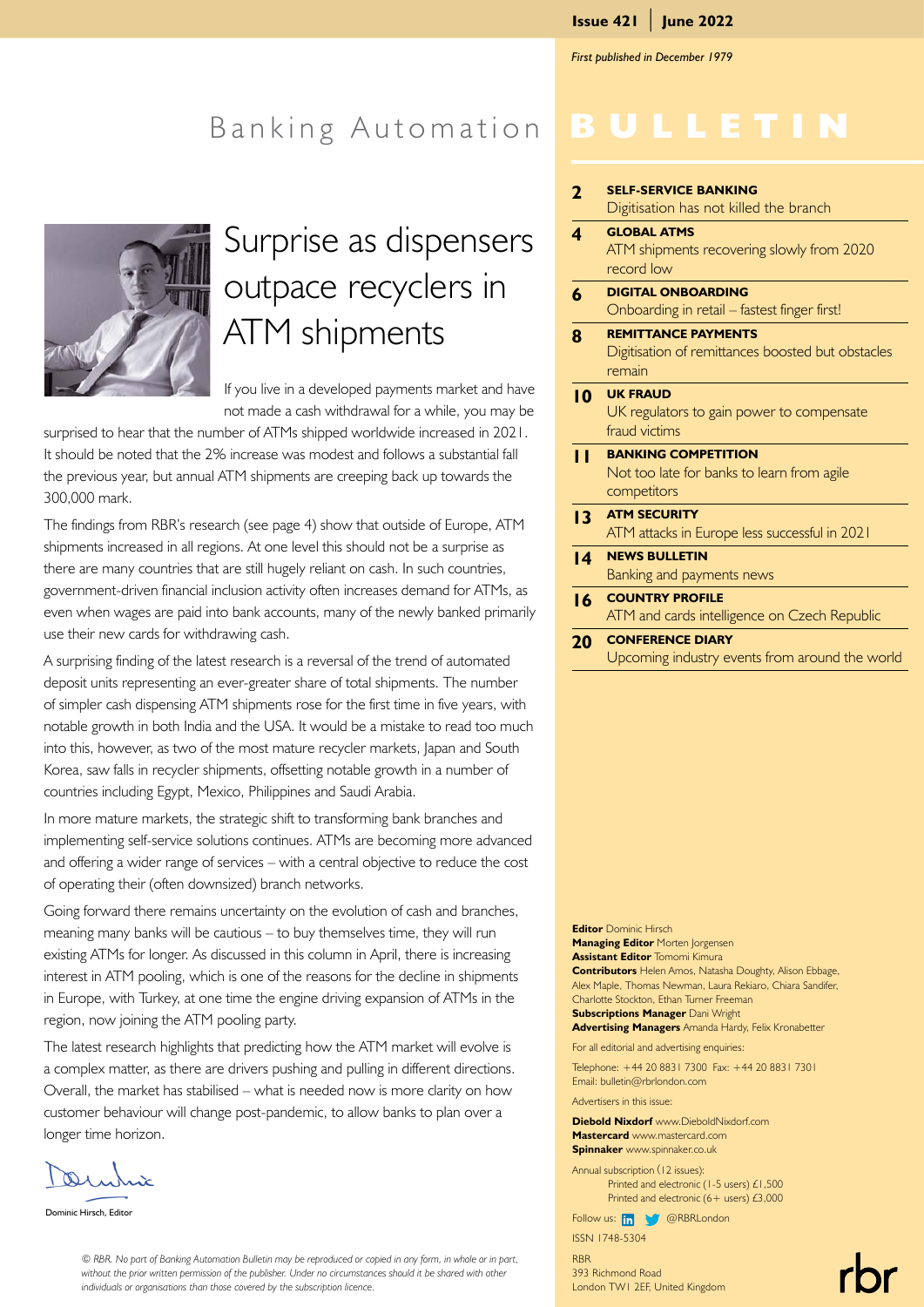**Issue 421** | **June 2022**

*First published in December 1979*

# Banking Automation **BULLETIN**



# Surprise as dispensers outpace recyclers in ATM shipments

If you live in a developed payments market and have not made a cash withdrawal for a while, you may be

surprised to hear that the number of ATMs shipped worldwide increased in 2021. It should be noted that the 2% increase was modest and follows a substantial fall the previous year, but annual ATM shipments are creeping back up towards the 300,000 mark.

The findings from RBR's research (see page 4) show that outside of Europe, ATM shipments increased in all regions. At one level this should not be a surprise as there are many countries that are still hugely reliant on cash. In such countries, government-driven financial inclusion activity often increases demand for ATMs, as even when wages are paid into bank accounts, many of the newly banked primarily use their new cards for withdrawing cash.

A surprising finding of the latest research is a reversal of the trend of automated deposit units representing an ever-greater share of total shipments. The number of simpler cash dispensing ATM shipments rose for the first time in five years, with notable growth in both India and the USA. It would be a mistake to read too much into this, however, as two of the most mature recycler markets, Japan and South Korea, saw falls in recycler shipments, offsetting notable growth in a number of countries including Egypt, Mexico, Philippines and Saudi Arabia.

In more mature markets, the strategic shift to transforming bank branches and implementing self-service solutions continues. ATMs are becoming more advanced and offering a wider range of services – with a central objective to reduce the cost of operating their (often downsized) branch networks.

Going forward there remains uncertainty on the evolution of cash and branches, meaning many banks will be cautious – to buy themselves time, they will run existing ATMs for longer. As discussed in this column in April, there is increasing interest in ATM pooling, which is one of the reasons for the decline in shipments in Europe, with Turkey, at one time the engine driving expansion of ATMs in the region, now joining the ATM pooling party.

The latest research highlights that predicting how the ATM market will evolve is a complex matter, as there are drivers pushing and pulling in different directions. Overall, the market has stabilised – what is needed now is more clarity on how customer behaviour will change post-pandemic, to allow banks to plan over a longer time horizon.

 $\alpha$ ,  $\beta$ 

Dominic Hirsch, Editor

*© RBR. No part of Banking Automation Bulletin may be reproduced or copied in any form, in whole or in part,*  without the prior written permission of the publisher. Under no circumstances should it be shared with other *individuals or organisations than those covered by the subscription licence.*

| $\overline{2}$  | <b>SELF-SERVICE BANKING</b>                                     |  |  |  |
|-----------------|-----------------------------------------------------------------|--|--|--|
|                 | Digitisation has not killed the branch                          |  |  |  |
| 4               | <b>GLOBAL ATMS</b><br>ATM shipments recovering slowly from 2020 |  |  |  |
|                 | record low                                                      |  |  |  |
| 6               | <b>DIGITAL ONBOARDING</b>                                       |  |  |  |
|                 | Onboarding in retail - fastest finger first!                    |  |  |  |
| 8               | <b>REMITTANCE PAYMENTS</b>                                      |  |  |  |
|                 | Digitisation of remittances boosted but obstacles               |  |  |  |
|                 | remain                                                          |  |  |  |
| $\overline{10}$ | <b>UK FRAUD</b>                                                 |  |  |  |
|                 | UK regulators to gain power to compensate                       |  |  |  |
|                 | fraud victims                                                   |  |  |  |
| ш               | <b>BANKING COMPETITION</b>                                      |  |  |  |
|                 | Not too late for banks to learn from agile                      |  |  |  |
|                 | competitors                                                     |  |  |  |
| 13              | <b>ATM SECURITY</b>                                             |  |  |  |
|                 | ATM attacks in Europe less successful in 2021                   |  |  |  |
| $\overline{14}$ | <b>NEWS BULLETIN</b>                                            |  |  |  |
|                 | Banking and payments news                                       |  |  |  |
| 16              | <b>COUNTRY PROFILE</b>                                          |  |  |  |
|                 | ATM and cards intelligence on Czech Republic                    |  |  |  |
| 20              | <b>CONFERENCE DIARY</b>                                         |  |  |  |
|                 | Upcoming industry events from around the world                  |  |  |  |

**Editor** Dominic Hirsch **Managing Editor** Morten Jorgensen **Assistant Editor** Tomomi Kimura **Contributors** Helen Amos, Natasha Doughty, Alison Ebbage, Alex Maple, Thomas Newman, Laura Rekiaro, Chiara Sandifer, Charlotte Stockton, Ethan Turner Freeman **Subscriptions Manager** Dani Wright **Advertising Managers** Amanda Hardy, Felix Kronabetter

For all editorial and advertising enquiries:

Telephone: +44 20 8831 7300 Fax: +44 20 8831 7301 Email: bulletin@rbrlondon.com

Advertisers in this issue:

**Diebold Nixdorf** www.DieboldNixdorf.com **Mastercard** www.mastercard.com **Spinnaker** www.spinnaker.co.uk

Annual subscription (12 issues): Printed and electronic (1-5 users) £1,500 Printed and electronic (6+ users) £3,000

Follow us[:](https://www.linkedin.com/groups/130718/) **in @**RBRLondon ISSN 1748-5304

RBR 393 Richmond Road London TW1 2EF, United Kingdom